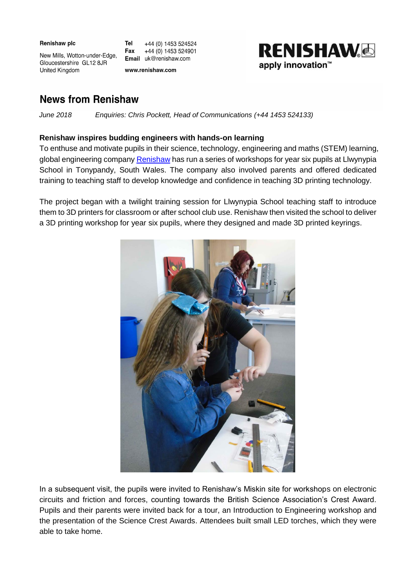| Renishaw plc |  |
|--------------|--|
|--------------|--|

United Kingdom

Tel +44 (0) 1453 524524 Fax +44 (0) 1453 524901 Email uk@renishaw.com

www.renishaw.com



## **News from Renishaw**

New Mills, Wotton-under-Edge,

Gloucestershire GL12 8JR

 *June 2018 Enquiries: Chris Pockett, Head of Communications (+44 1453 524133)*

## **Renishaw inspires budding engineers with hands-on learning**

To enthuse and motivate pupils in their science, technology, engineering and maths (STEM) learning, global engineering company [Renishaw](http://www.renishaw.com/en/1030.aspx) has run a series of workshops for year six pupils at Llwynypia School in Tonypandy, South Wales. The company also involved parents and offered dedicated training to teaching staff to develop knowledge and confidence in teaching 3D printing technology.

The project began with a twilight training session for Llwynypia School teaching staff to introduce them to 3D printers for classroom or after school club use. Renishaw then visited the school to deliver a 3D printing workshop for year six pupils, where they designed and made 3D printed keyrings.



In a subsequent visit, the pupils were invited to Renishaw's Miskin site for workshops on electronic circuits and friction and forces, counting towards the British Science Association's Crest Award. Pupils and their parents were invited back for a tour, an Introduction to Engineering workshop and the presentation of the Science Crest Awards. Attendees built small LED torches, which they were able to take home.